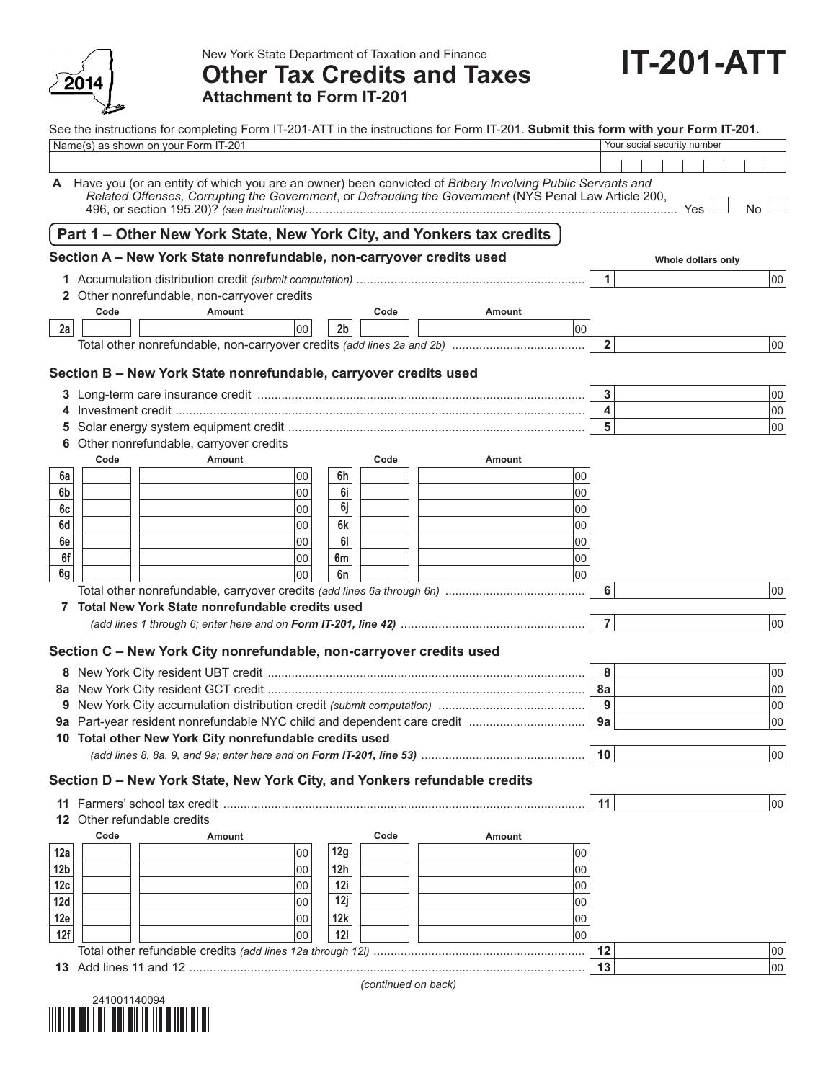

New York State Department of Taxation and Finance

## **Other Tax Credits and Taxes Attachment to Form IT-201**

|                 |                                                                      | See the instructions for completing Form IT-201-ATT in the instructions for Form IT-201. Submit this form with your Form IT-201.                                                                                     |                |      |        |                |  | Your social security number |     |
|-----------------|----------------------------------------------------------------------|----------------------------------------------------------------------------------------------------------------------------------------------------------------------------------------------------------------------|----------------|------|--------|----------------|--|-----------------------------|-----|
|                 |                                                                      | Name(s) as shown on your Form IT-201                                                                                                                                                                                 |                |      |        |                |  |                             |     |
|                 |                                                                      |                                                                                                                                                                                                                      |                |      |        |                |  |                             |     |
|                 |                                                                      | A Have you (or an entity of which you are an owner) been convicted of Bribery Involving Public Servants and<br>Related Offenses, Corrupting the Government, or Defrauding the Government (NYS Penal Law Article 200, |                |      |        |                |  |                             | No. |
|                 |                                                                      | Part 1 - Other New York State, New York City, and Yonkers tax credits                                                                                                                                                |                |      |        |                |  |                             |     |
|                 | Section A - New York State nonrefundable, non-carryover credits used |                                                                                                                                                                                                                      |                |      |        |                |  | Whole dollars only          |     |
|                 |                                                                      |                                                                                                                                                                                                                      |                |      |        | $\mathbf{1}$   |  |                             | 00  |
|                 |                                                                      | 2 Other nonrefundable, non-carryover credits                                                                                                                                                                         |                |      |        |                |  |                             |     |
|                 | Code                                                                 | Amount                                                                                                                                                                                                               |                | Code | Amount |                |  |                             |     |
| 2a              |                                                                      | 00                                                                                                                                                                                                                   | 2 <sub>b</sub> |      |        | 00             |  |                             |     |
|                 |                                                                      |                                                                                                                                                                                                                      |                |      |        | $\overline{2}$ |  |                             | 00  |
|                 |                                                                      | Section B - New York State nonrefundable, carryover credits used                                                                                                                                                     |                |      |        |                |  |                             |     |
|                 |                                                                      |                                                                                                                                                                                                                      |                |      |        | 3              |  |                             | 00  |
|                 |                                                                      |                                                                                                                                                                                                                      |                |      |        | 4              |  |                             | 00  |
|                 |                                                                      |                                                                                                                                                                                                                      |                |      |        | 5              |  |                             | 00  |
|                 |                                                                      | Other nonrefundable, carryover credits                                                                                                                                                                               |                |      |        |                |  |                             |     |
|                 | Code                                                                 | Amount                                                                                                                                                                                                               |                | Code | Amount |                |  |                             |     |
| 6a              |                                                                      | 00                                                                                                                                                                                                                   | 6h             |      |        | 00             |  |                             |     |
| 6b              |                                                                      | 00                                                                                                                                                                                                                   | 6i             |      |        | 00             |  |                             |     |
| 6c              |                                                                      | 00                                                                                                                                                                                                                   | 6j             |      |        | 00             |  |                             |     |
| 6d              |                                                                      | 00                                                                                                                                                                                                                   | 6k             |      |        | 00             |  |                             |     |
| 6e              |                                                                      | 00                                                                                                                                                                                                                   | 61             |      |        | 00             |  |                             |     |
| 6f              |                                                                      | 00                                                                                                                                                                                                                   | 6m             |      |        | 00             |  |                             |     |
| 6g              |                                                                      | 00                                                                                                                                                                                                                   | 6n             |      |        | 00             |  |                             |     |
|                 |                                                                      |                                                                                                                                                                                                                      |                |      |        | 6              |  |                             | 00  |
|                 |                                                                      | 7 Total New York State nonrefundable credits used                                                                                                                                                                    |                |      |        |                |  |                             |     |
|                 |                                                                      |                                                                                                                                                                                                                      |                |      |        | $\overline{7}$ |  |                             | 00  |
|                 |                                                                      | Section C - New York City nonrefundable, non-carryover credits used                                                                                                                                                  |                |      |        |                |  |                             |     |
|                 |                                                                      |                                                                                                                                                                                                                      |                |      |        | 8              |  |                             | 00  |
|                 |                                                                      |                                                                                                                                                                                                                      |                |      |        | 8a             |  |                             | 00  |
|                 |                                                                      |                                                                                                                                                                                                                      |                |      |        | 9              |  |                             | 00  |
|                 |                                                                      |                                                                                                                                                                                                                      |                |      |        | 9a             |  |                             | 100 |
|                 |                                                                      | 10 Total other New York City nonrefundable credits used                                                                                                                                                              |                |      |        |                |  |                             |     |
|                 |                                                                      |                                                                                                                                                                                                                      |                |      |        | 10             |  |                             | 00  |
|                 |                                                                      |                                                                                                                                                                                                                      |                |      |        |                |  |                             |     |
|                 |                                                                      | Section D - New York State, New York City, and Yonkers refundable credits                                                                                                                                            |                |      |        |                |  |                             |     |
|                 |                                                                      |                                                                                                                                                                                                                      |                |      |        | 11             |  |                             | 00  |
|                 |                                                                      | 12 Other refundable credits                                                                                                                                                                                          |                |      |        |                |  |                             |     |
|                 | Code                                                                 | Amount                                                                                                                                                                                                               |                | Code | Amount |                |  |                             |     |
| 12a             |                                                                      | 00                                                                                                                                                                                                                   | 12g            |      |        | 00             |  |                             |     |
| 12 <sub>b</sub> |                                                                      | 00                                                                                                                                                                                                                   | 12h            |      |        | 00             |  |                             |     |
| 12c             |                                                                      | 00                                                                                                                                                                                                                   | 12i            |      |        | 00             |  |                             |     |
| 12d             |                                                                      | 00                                                                                                                                                                                                                   | 12j            |      |        | 00             |  |                             |     |
| 12e             |                                                                      | 00                                                                                                                                                                                                                   | 12k            |      |        | 00             |  |                             |     |
| 12f             |                                                                      | 00                                                                                                                                                                                                                   | <b>12I</b>     |      |        | 00             |  |                             |     |
|                 |                                                                      |                                                                                                                                                                                                                      |                |      |        | 12             |  |                             | 00  |
|                 |                                                                      |                                                                                                                                                                                                                      |                |      |        | 13             |  |                             | 00  |



*(continued on back)*